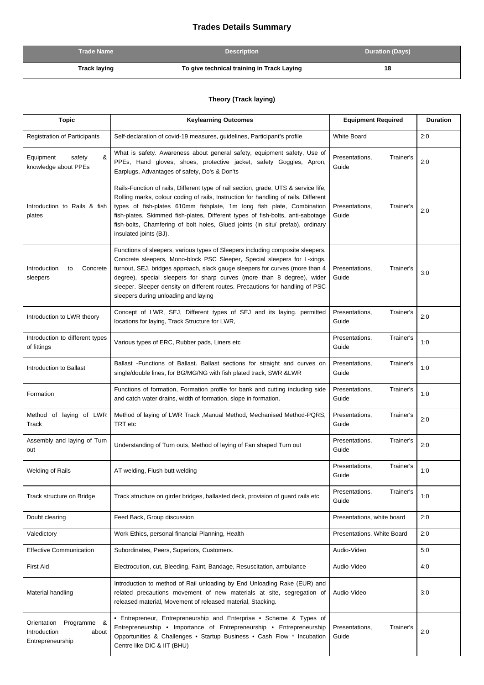## **Trades Details Summary**

| <b>Trade Name</b> | <b>Description</b>                         | <b>Duration (Days)</b> |
|-------------------|--------------------------------------------|------------------------|
| Track laying      | To give technical training in Track Laying | 18                     |

## **Theory (Track laying)**

| <b>Topic</b>                                                            | <b>Keylearning Outcomes</b>                                                                                                                                                                                                                                                                                                                                                                                                                       | <b>Equipment Required</b>            | <b>Duration</b> |
|-------------------------------------------------------------------------|---------------------------------------------------------------------------------------------------------------------------------------------------------------------------------------------------------------------------------------------------------------------------------------------------------------------------------------------------------------------------------------------------------------------------------------------------|--------------------------------------|-----------------|
| <b>Registration of Participants</b>                                     | Self-declaration of covid-19 measures, guidelines, Participant's profile                                                                                                                                                                                                                                                                                                                                                                          | <b>White Board</b>                   | 2:0             |
| &<br>Equipment<br>safety<br>knowledge about PPEs                        | What is safety. Awareness about general safety, equipment safety, Use of<br>PPEs, Hand gloves, shoes, protective jacket, safety Goggles, Apron,<br>Earplugs, Advantages of safety, Do's & Don'ts                                                                                                                                                                                                                                                  | Presentations,<br>Trainer's<br>Guide | 2:0             |
| Introduction to Rails & fish<br>plates                                  | Rails-Function of rails, Different type of rail section, grade, UTS & service life,<br>Rolling marks, colour coding of rails, Instruction for handling of rails. Different<br>types of fish-plates 610mm fishplate, 1m long fish plate, Combination<br>fish-plates, Skimmed fish-plates, Different types of fish-bolts, anti-sabotage<br>fish-bolts, Chamfering of bolt holes, Glued joints (in situ/ prefab), ordinary<br>insulated joints (BJ). | Trainer's<br>Presentations,<br>Guide | 2:0             |
| Introduction<br>Concrete<br>to<br>sleepers                              | Functions of sleepers, various types of Sleepers including composite sleepers.<br>Concrete sleepers, Mono-block PSC Sleeper, Special sleepers for L-xings,<br>turnout, SEJ, bridges approach, slack gauge sleepers for curves (more than 4<br>degree), special sleepers for sharp curves (more than 8 degree), wider<br>sleeper. Sleeper density on different routes. Precautions for handling of PSC<br>sleepers during unloading and laying     | Presentations,<br>Trainer's<br>Guide | 3:0             |
| Introduction to LWR theory                                              | Concept of LWR, SEJ, Different types of SEJ and its laying. permitted<br>locations for laying, Track Structure for LWR,                                                                                                                                                                                                                                                                                                                           | Presentations,<br>Trainer's<br>Guide | 2:0             |
| Introduction to different types<br>of fittings                          | Various types of ERC, Rubber pads, Liners etc                                                                                                                                                                                                                                                                                                                                                                                                     | Presentations,<br>Trainer's<br>Guide | 1:0             |
| Introduction to Ballast                                                 | Ballast - Functions of Ballast. Ballast sections for straight and curves on<br>single/double lines, for BG/MG/NG with fish plated track, SWR & LWR                                                                                                                                                                                                                                                                                                | Presentations,<br>Trainer's<br>Guide | 1:0             |
| Formation                                                               | Functions of formation, Formation profile for bank and cutting including side<br>and catch water drains, width of formation, slope in formation.                                                                                                                                                                                                                                                                                                  | Presentations,<br>Trainer's<br>Guide | 1:0             |
| Method of laying of LWR<br>Track                                        | Method of laying of LWR Track , Manual Method, Mechanised Method-PQRS,<br>TRT etc                                                                                                                                                                                                                                                                                                                                                                 | Presentations,<br>Trainer's<br>Guide | 2:0             |
| Assembly and laying of Turn<br>out                                      | Understanding of Turn outs, Method of laying of Fan shaped Turn out                                                                                                                                                                                                                                                                                                                                                                               | Presentations,<br>Trainer's<br>Guide | 2:0             |
| <b>Welding of Rails</b>                                                 | AT welding, Flush butt welding                                                                                                                                                                                                                                                                                                                                                                                                                    | Presentations,<br>Trainer's<br>Guide | 1:0             |
| Track structure on Bridge                                               | Track structure on girder bridges, ballasted deck, provision of guard rails etc                                                                                                                                                                                                                                                                                                                                                                   | Presentations.<br>Trainer's<br>Guide | 1:0             |
| Doubt clearing                                                          | Feed Back, Group discussion                                                                                                                                                                                                                                                                                                                                                                                                                       | Presentations, white board           | 2:0             |
| Valedictory                                                             | Work Ethics, personal financial Planning, Health                                                                                                                                                                                                                                                                                                                                                                                                  | Presentations, White Board           | 2:0             |
| <b>Effective Communication</b>                                          | Subordinates, Peers, Superiors, Customers.                                                                                                                                                                                                                                                                                                                                                                                                        | Audio-Video                          | 5:0             |
| <b>First Aid</b>                                                        | Electrocution, cut, Bleeding, Faint, Bandage, Resuscitation, ambulance                                                                                                                                                                                                                                                                                                                                                                            | Audio-Video                          | 4:0             |
| Material handling                                                       | Introduction to method of Rail unloading by End Unloading Rake (EUR) and<br>related precautions movement of new materials at site, segregation of<br>released material, Movement of released material, Stacking.                                                                                                                                                                                                                                  | Audio-Video                          | 3:0             |
| Orientation<br>Programme &<br>Introduction<br>about<br>Entrepreneurship | • Entrepreneur, Entrepreneurship and Enterprise • Scheme & Types of<br>Entrepreneurship • Importance of Entrepreneurship • Entrepreneurship<br>Opportunities & Challenges . Startup Business . Cash Flow * Incubation<br>Centre like DIC & IIT (BHU)                                                                                                                                                                                              | Presentations,<br>Trainer's<br>Guide | 2:0             |